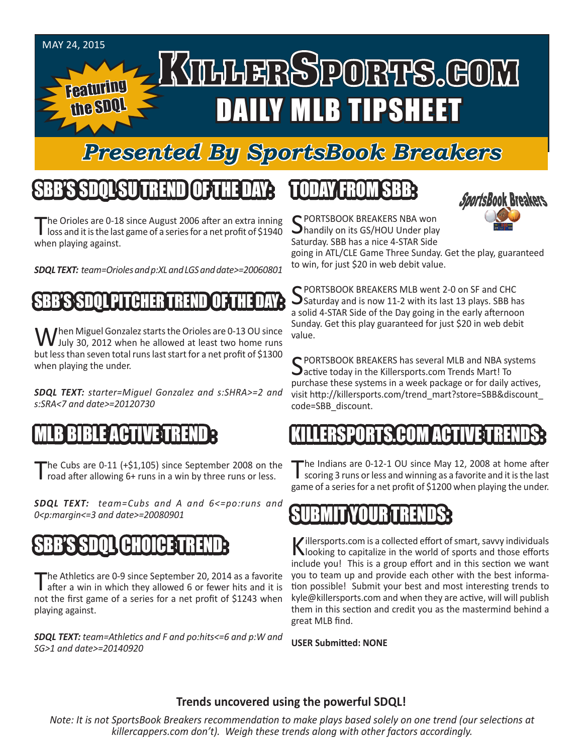

# *Presented By SportsBook Breakers*

# SBB'S SDQLSU TREND OF THE DAY:

The Orioles are 0-18 since August 2006 after an extra inning<br>loss and it is the last game of a series for a net profit of \$1940 when playing against.

*SDQL TEXT: team=Orioles and p:XL and LGS and date>=20060801* 

#### SBB'S SDOL PITCHER TREND

When Miguel Gonzalez starts the Orioles are 0-13 OU since<br>July 30, 2012 when he allowed at least two home runs but less than seven total runs last start for a net profit of \$1300 when playing the under.

*SDQL TEXT: starter=Miguel Gonzalez and s:SHRA>=2 and s:SRA<7 and date>=20120730*

#### BRETT ALLEN IN DE TREND

The Cubs are 0-11 (+\$1,105) since September 2008 on the road after allowing 6+ runs in a win by three runs or less.

*SDQL TEXT: team=Cubs and A and 6<=po:runs and 0<p:margin<=3 and date>=20080901* 

#### SBB'S SDQL CHOICE TREND:

The Athletics are 0-9 since September 20, 2014 as a favorite after a win in which they allowed 6 or fewer hits and it is not the first game of a series for a net profit of \$1243 when playing against.

*SDQL TEXT: team=Athletics and F and po:hits<=6 and p:W and SG>1 and date>=20140920*

## TODAY FROM SBB:



C PORTSBOOK BREAKERS NBA won handily on its GS/HOU Under play Saturday. SBB has a nice 4-STAR Side

going in ATL/CLE Game Three Sunday. Get the play, guaranteed to win, for just \$20 in web debit value.

SPORTSBOOK BREAKERS MLB went 2-0 on SF and CHC  $\bigcup$  Saturday and is now 11-2 with its last 13 plays. SBB has a solid 4-STAR Side of the Day going in the early afternoon Sunday. Get this play guaranteed for just \$20 in web debit value.

**C** PORTSBOOK BREAKERS has several MLB and NBA systems  $\bigcup$  active today in the Killersports.com Trends Mart! To purchase these systems in a week package or for daily actives, visit http://killersports.com/trend\_mart?store=SBB&discount\_ code=SBB\_discount.

#### RSPORTS COM ACTI

The Indians are 0-12-1 OU since May 12, 2008 at home after scoring 3 runs or less and winning as a favorite and it is the last game of a series for a net profit of \$1200 when playing the under.

# SUBMIT YOUR TRENDS:

Killersports.com is a collected effort of smart, savvy individuals<br>Nooking to capitalize in the world of sports and those efforts include you! This is a group effort and in this section we want you to team up and provide each other with the best information possible! Submit your best and most interesting trends to kyle@killersports.com and when they are active, will will publish them in this section and credit you as the mastermind behind a great MLB find.

**USER Submitted: NONE**

#### **Trends uncovered using the powerful SDQL!**

*Note: It is not SportsBook Breakers recommendation to make plays based solely on one trend (our selections at killercappers.com don't). Weigh these trends along with other factors accordingly.*